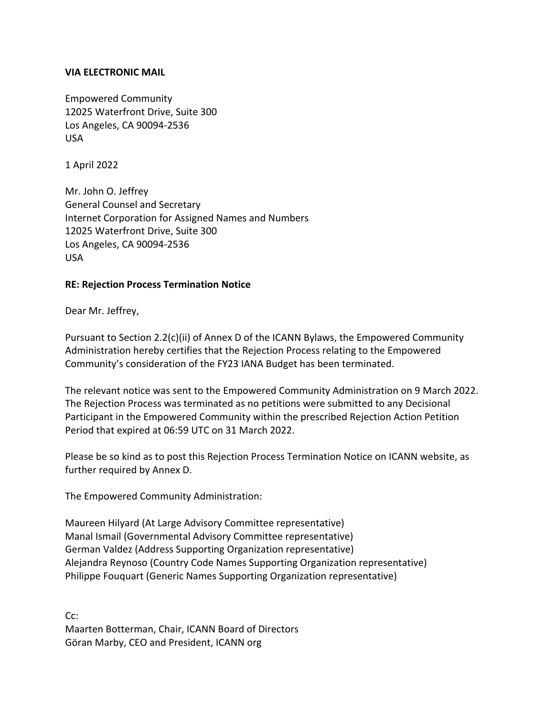## **VIA ELECTRONIC MAIL**

Empowered Community 12025 Waterfront Drive, Suite 300 Los Angeles, CA 90094-2536 USA

1 April 2022

Mr. John O. Jeffrey General Counsel and Secretary Internet Corporation for Assigned Names and Numbers 12025 Waterfront Drive, Suite 300 Los Angeles, CA 90094-2536 USA

## **RE: Rejection Process Termination Notice**

Dear Mr. Jeffrey,

Pursuant to Section 2.2(c)(ii) of Annex D of the ICANN Bylaws, the Empowered Community Administration hereby certifies that the Rejection Process relating to the Empowered Community's consideration of the FY23 IANA Budget has been terminated.

The relevant notice was sent to the Empowered Community Administration on 9 March 2022. The Rejection Process was terminated as no petitions were submitted to any Decisional Participant in the Empowered Community within the prescribed Rejection Action Petition Period that expired at 06:59 UTC on 31 March 2022.

Please be so kind as to post this Rejection Process Termination Notice on ICANN website, as further required by Annex D.

The Empowered Community Administration:

Maureen Hilyard (At Large Advisory Committee representative) Manal Ismail (Governmental Advisory Committee representative) German Valdez (Address Supporting Organization representative) Alejandra Reynoso (Country Code Names Supporting Organization representative) Philippe Fouquart (Generic Names Supporting Organization representative)

Cc: Maarten Botterman, Chair, ICANN Board of Directors Göran Marby, CEO and President, ICANN org